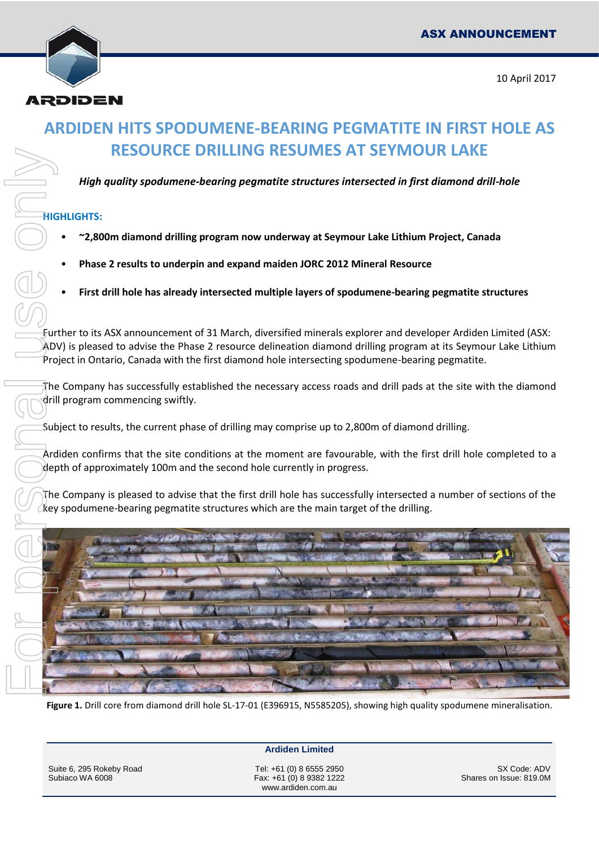

# **ARDIDEN HITS SPODUMENE-BEARING PEGMATITE IN FIRST HOLE AS RESOURCE DRILLING RESUMES AT SEYMOUR LAKE**

*High quality spodumene-bearing pegmatite structures intersected in first diamond drill-hole*

#### **HIGHLIGHTS:**

- **~2,800m diamond drilling program now underway at Seymour Lake Lithium Project, Canada**
- **Phase 2 results to underpin and expand maiden JORC 2012 Mineral Resource**
- **First drill hole has already intersected multiple layers of spodumene-bearing pegmatite structures**

Further to its ASX announcement of 31 March, diversified minerals explorer and developer Ardiden Limited (ASX: ADV) is pleased to advise the Phase 2 resource delineation diamond drilling program at its Seymour Lake Lithium Project in Ontario, Canada with the first diamond hole intersecting spodumene-bearing pegmatite.

The Company has successfully established the necessary access roads and drill pads at the site with the diamond drill program commencing swiftly.

Subject to results, the current phase of drilling may comprise up to 2,800m of diamond drilling.

Ardiden confirms that the site conditions at the moment are favourable, with the first drill hole completed to a depth of approximately 100m and the second hole currently in progress.

The Company is pleased to advise that the first drill hole has successfully intersected a number of sections of the



**Figure 1.** Drill core from diamond drill hole SL-17-01 (E396915, N5585205), showing high quality spodumene mineralisation.

**Ardiden Limited**

Suite 6, 295 Rokeby Road Subiaco WA 6008

Tel: +61 (0) 8 6555 2950 Fax: +61 (0) 8 9382 1222 www.ardiden.com.au

SX Code: ADV Shares on Issue: 819.0M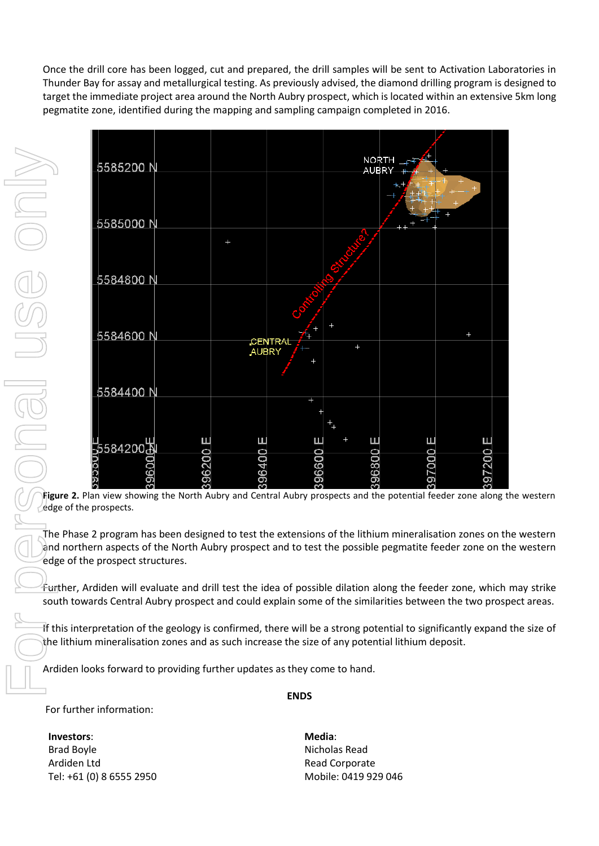Once the drill core has been logged, cut and prepared, the drill samples will be sent to Activation Laboratories in Thunder Bay for assay and metallurgical testing. As previously advised, the diamond drilling program is designed to target the immediate project area around the North Aubry prospect, which is located within an extensive 5km long pegmatite zone, identified during the mapping and sampling campaign completed in 2016.



**Figure 2.** Plan view showing the North Aubry and Central Aubry prospects and the potential feeder zone along the western  $\angle$ edge of the prospects.

The Phase 2 program has been designed to test the extensions of the lithium mineralisation zones on the western and northern aspects of the North Aubry prospect and to test the possible pegmatite feeder zone on the western edge of the prospect structures.

Further, Ardiden will evaluate and drill test the idea of possible dilation along the feeder zone, which may strike south towards Central Aubry prospect and could explain some of the similarities between the two prospect areas.

If this interpretation of the geology is confirmed, there will be a strong potential to significantly expand the size of the lithium mineralisation zones and as such increase the size of any potential lithium deposit.

Ardiden looks forward to providing further updates as they come to hand.

#### **ENDS**

For further information:

**Investors**: Brad Boyle Ardiden Ltd Tel: +61 (0) 8 6555 2950 **Media**: Nicholas Read Read Corporate Mobile: 0419 929 046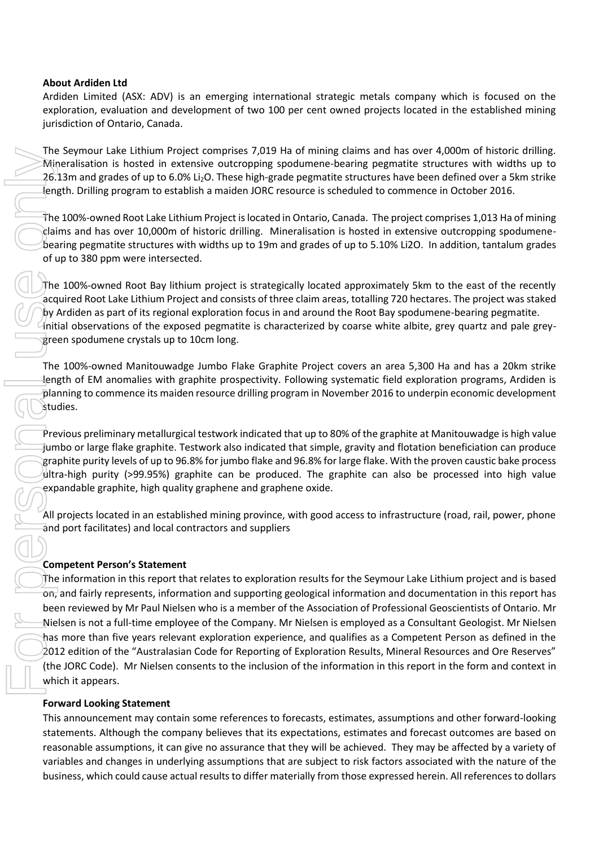#### **About Ardiden Ltd**

Ardiden Limited (ASX: ADV) is an emerging international strategic metals company which is focused on the exploration, evaluation and development of two 100 per cent owned projects located in the established mining jurisdiction of Ontario, Canada.

The Seymour Lake Lithium Project comprises 7,019 Ha of mining claims and has over 4,000m of historic drilling. Mineralisation is hosted in extensive outcropping spodumene-bearing pegmatite structures with widths up to 26.13m and grades of up to 6.0% Li<sub>2</sub>O. These high-grade pegmatite structures have been defined over a 5km strike length. Drilling program to establish a maiden JORC resource is scheduled to commence in October 2016.

The 100%-owned Root Lake Lithium Project is located in Ontario, Canada. The project comprises 1,013 Ha of mining claims and has over 10,000m of historic drilling. Mineralisation is hosted in extensive outcropping spodumenebearing pegmatite structures with widths up to 19m and grades of up to 5.10% Li2O. In addition, tantalum grades of up to 380 ppm were intersected.

The 100%-owned Root Bay lithium project is strategically located approximately 5km to the east of the recently acquired Root Lake Lithium Project and consists of three claim areas, totalling 720 hectares. The project was staked by Ardiden as part of its regional exploration focus in and around the Root Bay spodumene-bearing pegmatite. Initial observations of the exposed pegmatite is characterized by coarse white albite, grey quartz and pale greygreen spodumene crystals up to 10cm long.

The 100%-owned Manitouwadge Jumbo Flake Graphite Project covers an area 5,300 Ha and has a 20km strike length of EM anomalies with graphite prospectivity. Following systematic field exploration programs, Ardiden is planning to commence its maiden resource drilling program in November 2016 to underpin economic development studies.

Previous preliminary metallurgical testwork indicated that up to 80% of the graphite at Manitouwadge is high value jumbo or large flake graphite. Testwork also indicated that simple, gravity and flotation beneficiation can produce graphite purity levels of up to 96.8% for jumbo flake and 96.8% for large flake. With the proven caustic bake process ultra-high purity (>99.95%) graphite can be produced. The graphite can also be processed into high value expandable graphite, high quality graphene and graphene oxide.

All projects located in an established mining province, with good access to infrastructure (road, rail, power, phone and port facilitates) and local contractors and suppliers

#### **Competent Person's Statement**

The information in this report that relates to exploration results for the Seymour Lake Lithium project and is based on, and fairly represents, information and supporting geological information and documentation in this report has been reviewed by Mr Paul Nielsen who is a member of the Association of Professional Geoscientists of Ontario. Mr Nielsen is not a full-time employee of the Company. Mr Nielsen is employed as a Consultant Geologist. Mr Nielsen has more than five years relevant exploration experience, and qualifies as a Competent Person as defined in the 2012 edition of the "Australasian Code for Reporting of Exploration Results, Mineral Resources and Ore Reserves" (the JORC Code). Mr Nielsen consents to the inclusion of the information in this report in the form and context in which it appears. Ine symmal rate internal results to the symmal results to the form the over 40,000 minimizer and the symmal results to do the symmal results to the first material results to the first measure of the symmal results to the m

#### **Forward Looking Statement**

This announcement may contain some references to forecasts, estimates, assumptions and other forward-looking statements. Although the company believes that its expectations, estimates and forecast outcomes are based on reasonable assumptions, it can give no assurance that they will be achieved. They may be affected by a variety of variables and changes in underlying assumptions that are subject to risk factors associated with the nature of the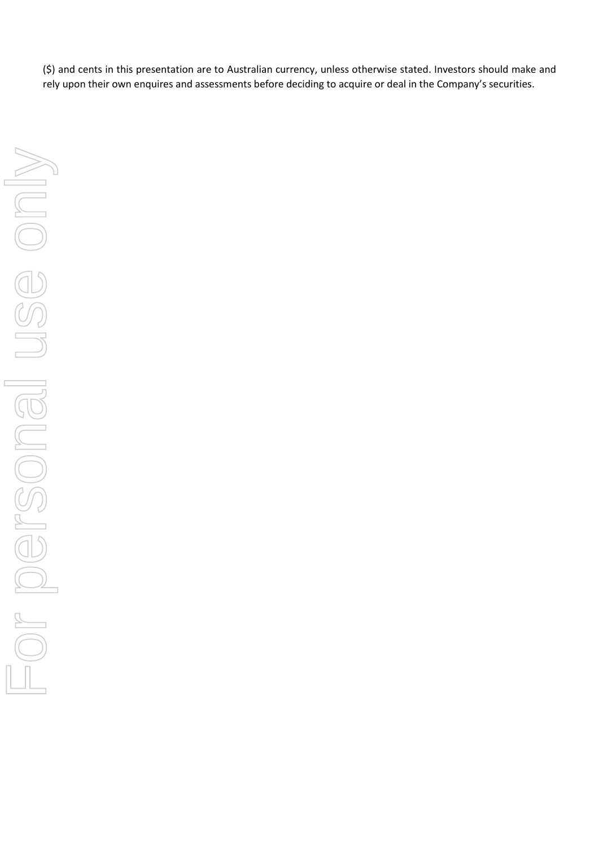(\$) and cents in this presentation are to Australian currency, unless otherwise stated. Investors should make and rely upon their own enquires and assessments before deciding to acquire or deal in the Company's securities.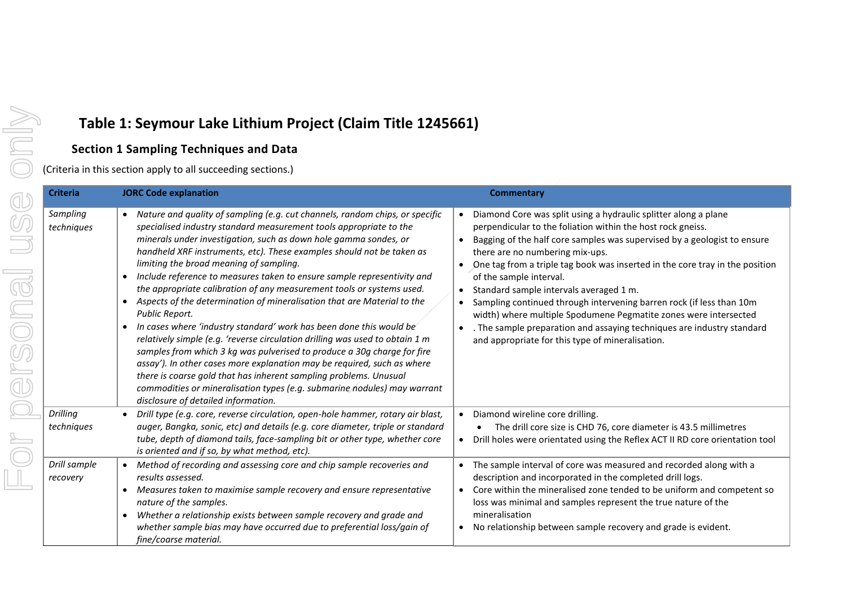## **Table 1: Seymour Lake Lithium Project (Claim Title 1245661)**

### **Section 1 Sampling Techniques and Data**

(Criteria in this section apply to all succeeding sections.)

| <b>Criteria</b>          | <b>JORC Code explanation</b>                                                                                                                                                                                                                                                                                                                                                                                                                                                                                                                                                                                                                                                                                                                                                                                                                                                                                                                                                                                                                                                                                                 | <b>Commentary</b>                                                                                                                                                                                                                                                                                                                                                                                                                                                                                                                                                                                                                                                                                       |
|--------------------------|------------------------------------------------------------------------------------------------------------------------------------------------------------------------------------------------------------------------------------------------------------------------------------------------------------------------------------------------------------------------------------------------------------------------------------------------------------------------------------------------------------------------------------------------------------------------------------------------------------------------------------------------------------------------------------------------------------------------------------------------------------------------------------------------------------------------------------------------------------------------------------------------------------------------------------------------------------------------------------------------------------------------------------------------------------------------------------------------------------------------------|---------------------------------------------------------------------------------------------------------------------------------------------------------------------------------------------------------------------------------------------------------------------------------------------------------------------------------------------------------------------------------------------------------------------------------------------------------------------------------------------------------------------------------------------------------------------------------------------------------------------------------------------------------------------------------------------------------|
| Sampling<br>techniques   | • Nature and quality of sampling (e.g. cut channels, random chips, or specific<br>specialised industry standard measurement tools appropriate to the<br>minerals under investigation, such as down hole gamma sondes, or<br>handheld XRF instruments, etc). These examples should not be taken as<br>limiting the broad meaning of sampling.<br>Include reference to measures taken to ensure sample representivity and<br>$\bullet$<br>the appropriate calibration of any measurement tools or systems used.<br>Aspects of the determination of mineralisation that are Material to the<br>$\bullet$<br>Public Report.<br>In cases where 'industry standard' work has been done this would be<br>relatively simple (e.g. 'reverse circulation drilling was used to obtain 1 m<br>samples from which 3 kg was pulverised to produce a 30g charge for fire<br>assay'). In other cases more explanation may be required, such as where<br>there is coarse gold that has inherent sampling problems. Unusual<br>commodities or mineralisation types (e.g. submarine nodules) may warrant<br>disclosure of detailed information. | Diamond Core was split using a hydraulic splitter along a plane<br>perpendicular to the foliation within the host rock gneiss.<br>Bagging of the half core samples was supervised by a geologist to ensure<br>$\bullet$<br>there are no numbering mix-ups.<br>One tag from a triple tag book was inserted in the core tray in the position<br>of the sample interval.<br>Standard sample intervals averaged 1 m.<br>$\bullet$<br>Sampling continued through intervening barren rock (if less than 10m<br>width) where multiple Spodumene Pegmatite zones were intersected<br>. The sample preparation and assaying techniques are industry standard<br>and appropriate for this type of mineralisation. |
| Drilling<br>techniques   | Drill type (e.g. core, reverse circulation, open-hole hammer, rotary air blast,<br>auger, Bangka, sonic, etc) and details (e.g. core diameter, triple or standard<br>tube, depth of diamond tails, face-sampling bit or other type, whether core<br>is oriented and if so, by what method, etc).                                                                                                                                                                                                                                                                                                                                                                                                                                                                                                                                                                                                                                                                                                                                                                                                                             | Diamond wireline core drilling.<br>$\bullet$<br>The drill core size is CHD 76, core diameter is 43.5 millimetres<br>Drill holes were orientated using the Reflex ACT II RD core orientation tool<br>$\bullet$                                                                                                                                                                                                                                                                                                                                                                                                                                                                                           |
| Drill sample<br>recovery | Method of recording and assessing core and chip sample recoveries and<br>results assessed.<br>Measures taken to maximise sample recovery and ensure representative<br>$\bullet$<br>nature of the samples.<br>Whether a relationship exists between sample recovery and grade and<br>$\bullet$<br>whether sample bias may have occurred due to preferential loss/gain of<br>fine/coarse material.                                                                                                                                                                                                                                                                                                                                                                                                                                                                                                                                                                                                                                                                                                                             | The sample interval of core was measured and recorded along with a<br>description and incorporated in the completed drill logs.<br>Core within the mineralised zone tended to be uniform and competent so<br>$\bullet$<br>loss was minimal and samples represent the true nature of the<br>mineralisation<br>No relationship between sample recovery and grade is evident.<br>$\bullet$                                                                                                                                                                                                                                                                                                                 |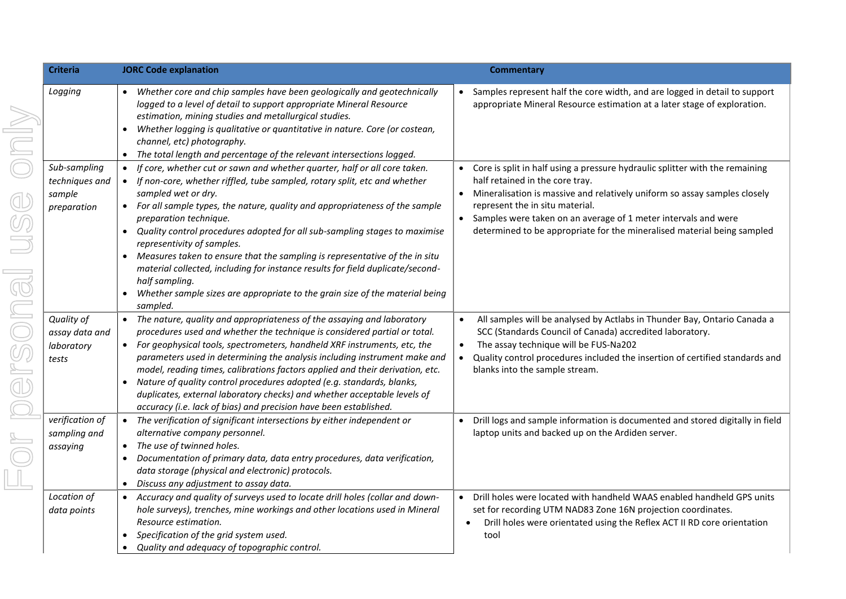| <b>Criteria</b>                                         | <b>JORC Code explanation</b>                                                                                                                                                                                                                                                                                                                                                                                                                                                                                                                                                                                                                                                                                               | <b>Commentary</b>                                                                                                                                                                                                                                                                                                                                                                         |
|---------------------------------------------------------|----------------------------------------------------------------------------------------------------------------------------------------------------------------------------------------------------------------------------------------------------------------------------------------------------------------------------------------------------------------------------------------------------------------------------------------------------------------------------------------------------------------------------------------------------------------------------------------------------------------------------------------------------------------------------------------------------------------------------|-------------------------------------------------------------------------------------------------------------------------------------------------------------------------------------------------------------------------------------------------------------------------------------------------------------------------------------------------------------------------------------------|
| Logging                                                 | • Whether core and chip samples have been geologically and geotechnically<br>logged to a level of detail to support appropriate Mineral Resource<br>estimation, mining studies and metallurgical studies.<br>Whether logging is qualitative or quantitative in nature. Core (or costean,<br>$\bullet$<br>channel, etc) photography.<br>The total length and percentage of the relevant intersections logged.<br>$\bullet$                                                                                                                                                                                                                                                                                                  | Samples represent half the core width, and are logged in detail to support<br>appropriate Mineral Resource estimation at a later stage of exploration.                                                                                                                                                                                                                                    |
| Sub-sampling<br>techniques and<br>sample<br>preparation | If core, whether cut or sawn and whether quarter, half or all core taken.<br>If non-core, whether riffled, tube sampled, rotary split, etc and whether<br>sampled wet or dry.<br>• For all sample types, the nature, quality and appropriateness of the sample<br>preparation technique.<br>Quality control procedures adopted for all sub-sampling stages to maximise<br>$\bullet$<br>representivity of samples.<br>Measures taken to ensure that the sampling is representative of the in situ<br>$\bullet$<br>material collected, including for instance results for field duplicate/second-<br>half sampling.<br>Whether sample sizes are appropriate to the grain size of the material being<br>$\bullet$<br>sampled. | Core is split in half using a pressure hydraulic splitter with the remaining<br>half retained in the core tray.<br>Mineralisation is massive and relatively uniform so assay samples closely<br>represent the in situ material.<br>$\bullet$<br>Samples were taken on an average of 1 meter intervals and were<br>determined to be appropriate for the mineralised material being sampled |
| Quality of<br>assay data and<br>laboratory<br>tests     | • The nature, quality and appropriateness of the assaying and laboratory<br>procedures used and whether the technique is considered partial or total.<br>For geophysical tools, spectrometers, handheld XRF instruments, etc, the<br>$\bullet$<br>parameters used in determining the analysis including instrument make and<br>model, reading times, calibrations factors applied and their derivation, etc.<br>Nature of quality control procedures adopted (e.g. standards, blanks,<br>$\bullet$<br>duplicates, external laboratory checks) and whether acceptable levels of<br>accuracy (i.e. lack of bias) and precision have been established.                                                                        | All samples will be analysed by Actlabs in Thunder Bay, Ontario Canada a<br>SCC (Standards Council of Canada) accredited laboratory.<br>The assay technique will be FUS-Na202<br>$\bullet$<br>Quality control procedures included the insertion of certified standards and<br>$\bullet$<br>blanks into the sample stream.                                                                 |
| verification of<br>sampling and<br>assaying             | • The verification of significant intersections by either independent or<br>alternative company personnel.<br>The use of twinned holes.<br>$\bullet$<br>Documentation of primary data, data entry procedures, data verification,<br>data storage (physical and electronic) protocols.<br>Discuss any adjustment to assay data.<br>$\bullet$                                                                                                                                                                                                                                                                                                                                                                                | Drill logs and sample information is documented and stored digitally in field<br>$\bullet$<br>laptop units and backed up on the Ardiden server.                                                                                                                                                                                                                                           |
| Location of<br>data points                              | • Accuracy and quality of surveys used to locate drill holes (collar and down-<br>hole surveys), trenches, mine workings and other locations used in Mineral<br>Resource estimation.<br>Specification of the grid system used.<br>Quality and adequacy of topographic control.<br>$\bullet$                                                                                                                                                                                                                                                                                                                                                                                                                                | Drill holes were located with handheld WAAS enabled handheld GPS units<br>$\bullet$<br>set for recording UTM NAD83 Zone 16N projection coordinates.<br>Drill holes were orientated using the Reflex ACT II RD core orientation<br>tool                                                                                                                                                    |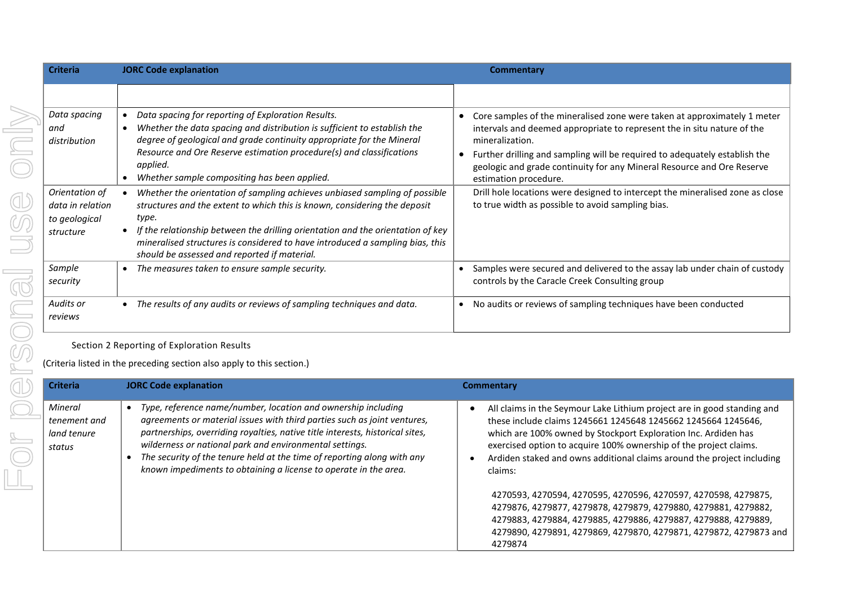| <b>Criteria</b>                                                  | <b>JORC Code explanation</b>                                                                                                                                                                                                                                                                                                                                                         | Commentary                                                                                                                                                                                                                                                                                                                                              |
|------------------------------------------------------------------|--------------------------------------------------------------------------------------------------------------------------------------------------------------------------------------------------------------------------------------------------------------------------------------------------------------------------------------------------------------------------------------|---------------------------------------------------------------------------------------------------------------------------------------------------------------------------------------------------------------------------------------------------------------------------------------------------------------------------------------------------------|
|                                                                  |                                                                                                                                                                                                                                                                                                                                                                                      |                                                                                                                                                                                                                                                                                                                                                         |
| Data spacing<br>and<br>distribution                              | Data spacing for reporting of Exploration Results.<br>Whether the data spacing and distribution is sufficient to establish the<br>degree of geological and grade continuity appropriate for the Mineral<br>Resource and Ore Reserve estimation procedure(s) and classifications<br>applied.<br>Whether sample compositing has been applied.                                          | Core samples of the mineralised zone were taken at approximately 1 meter<br>intervals and deemed appropriate to represent the in situ nature of the<br>mineralization.<br>Further drilling and sampling will be required to adequately establish the<br>geologic and grade continuity for any Mineral Resource and Ore Reserve<br>estimation procedure. |
| Orientation of<br>data in relation<br>to geological<br>structure | Whether the orientation of sampling achieves unbiased sampling of possible<br>structures and the extent to which this is known, considering the deposit<br>type.<br>If the relationship between the drilling orientation and the orientation of key<br>mineralised structures is considered to have introduced a sampling bias, this<br>should be assessed and reported if material. | Drill hole locations were designed to intercept the mineralised zone as close<br>to true width as possible to avoid sampling bias.                                                                                                                                                                                                                      |
| Sample<br>security                                               | The measures taken to ensure sample security.<br>$\bullet$                                                                                                                                                                                                                                                                                                                           | Samples were secured and delivered to the assay lab under chain of custody<br>controls by the Caracle Creek Consulting group                                                                                                                                                                                                                            |
| Audits or<br>reviews                                             | The results of any audits or reviews of sampling techniques and data.                                                                                                                                                                                                                                                                                                                | No audits or reviews of sampling techniques have been conducted<br>٠                                                                                                                                                                                                                                                                                    |

Section 2 Reporting of Exploration Results

(Criteria listed in the preceding section also apply to this section.)

| <b>Criteria</b>                                  | <b>JORC Code explanation</b>                                                                                                                                                                                                                                                                                                                                                                                                         | Commentary                                                                                                                                                                                                                                                                                                                                                           |
|--------------------------------------------------|--------------------------------------------------------------------------------------------------------------------------------------------------------------------------------------------------------------------------------------------------------------------------------------------------------------------------------------------------------------------------------------------------------------------------------------|----------------------------------------------------------------------------------------------------------------------------------------------------------------------------------------------------------------------------------------------------------------------------------------------------------------------------------------------------------------------|
| Mineral<br>tenement and<br>land tenure<br>status | Type, reference name/number, location and ownership including<br>agreements or material issues with third parties such as joint ventures,<br>partnerships, overriding royalties, native title interests, historical sites,<br>wilderness or national park and environmental settings.<br>The security of the tenure held at the time of reporting along with any<br>known impediments to obtaining a license to operate in the area. | All claims in the Seymour Lake Lithium project are in good standing and<br>these include claims 1245661 1245648 1245662 1245664 1245646,<br>which are 100% owned by Stockport Exploration Inc. Ardiden has<br>exercised option to acquire 100% ownership of the project claims.<br>Ardiden staked and owns additional claims around the project including<br>claims: |
|                                                  |                                                                                                                                                                                                                                                                                                                                                                                                                                      | 4270593, 4270594, 4270595, 4270596, 4270597, 4270598, 4279875,<br>4279876, 4279877, 4279878, 4279879, 4279880, 4279881, 4279882,<br>4279883, 4279884, 4279885, 4279886, 4279887, 4279888, 4279889,<br>4279890, 4279891, 4279869, 4279870, 4279871, 4279872, 4279873 and<br>4279874                                                                                   |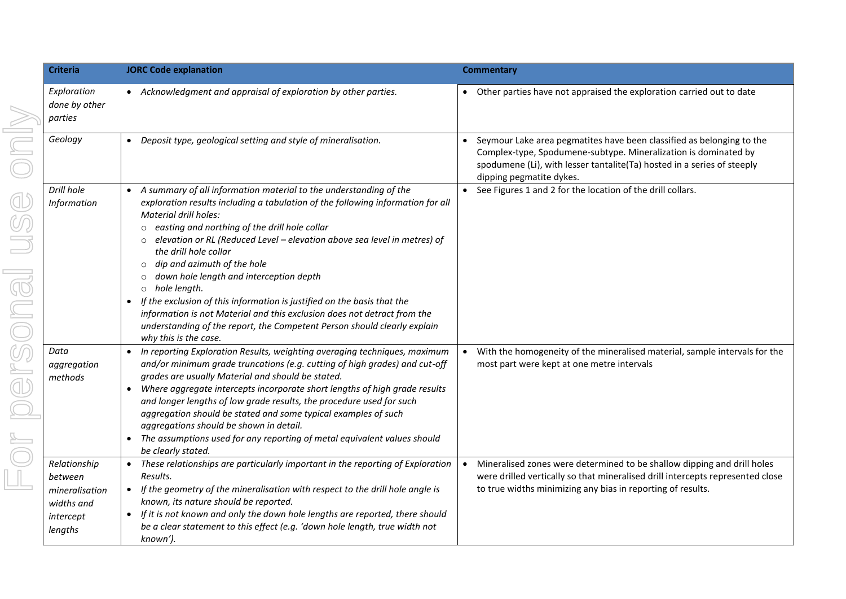| <b>Criteria</b>                                                                 | <b>JORC Code explanation</b>                                                                                                                                                                                                                                                                                                                                                                                                                                                                                                                                                                                                                                                                                     | <b>Commentary</b>                                                                                                                                                                                                                               |
|---------------------------------------------------------------------------------|------------------------------------------------------------------------------------------------------------------------------------------------------------------------------------------------------------------------------------------------------------------------------------------------------------------------------------------------------------------------------------------------------------------------------------------------------------------------------------------------------------------------------------------------------------------------------------------------------------------------------------------------------------------------------------------------------------------|-------------------------------------------------------------------------------------------------------------------------------------------------------------------------------------------------------------------------------------------------|
| Exploration<br>done by other<br>parties                                         | • Acknowledgment and appraisal of exploration by other parties.                                                                                                                                                                                                                                                                                                                                                                                                                                                                                                                                                                                                                                                  | • Other parties have not appraised the exploration carried out to date                                                                                                                                                                          |
| Geology                                                                         | Deposit type, geological setting and style of mineralisation.                                                                                                                                                                                                                                                                                                                                                                                                                                                                                                                                                                                                                                                    | Seymour Lake area pegmatites have been classified as belonging to the<br>Complex-type, Spodumene-subtype. Mineralization is dominated by<br>spodumene (Li), with lesser tantalite(Ta) hosted in a series of steeply<br>dipping pegmatite dykes. |
| Drill hole<br>Information                                                       | A summary of all information material to the understanding of the<br>exploration results including a tabulation of the following information for all<br>Material drill holes:<br>o easting and northing of the drill hole collar<br>$\circ$ elevation or RL (Reduced Level – elevation above sea level in metres) of<br>the drill hole collar<br>dip and azimuth of the hole<br>$\circ$<br>down hole length and interception depth<br>o hole length.<br>If the exclusion of this information is justified on the basis that the<br>information is not Material and this exclusion does not detract from the<br>understanding of the report, the Competent Person should clearly explain<br>why this is the case. | See Figures 1 and 2 for the location of the drill collars.                                                                                                                                                                                      |
| Data<br>aggregation<br>methods                                                  | In reporting Exploration Results, weighting averaging techniques, maximum<br>and/or minimum grade truncations (e.g. cutting of high grades) and cut-off<br>grades are usually Material and should be stated.<br>Where aggregate intercepts incorporate short lengths of high grade results<br>and longer lengths of low grade results, the procedure used for such<br>aggregation should be stated and some typical examples of such<br>aggregations should be shown in detail.<br>The assumptions used for any reporting of metal equivalent values should<br>be clearly stated.                                                                                                                                | With the homogeneity of the mineralised material, sample intervals for the<br>most part were kept at one metre intervals                                                                                                                        |
| Relationship<br>between<br>mineralisation<br>widths and<br>intercept<br>lengths | • These relationships are particularly important in the reporting of Exploration<br>Results.<br>If the geometry of the mineralisation with respect to the drill hole angle is<br>$\bullet$<br>known, its nature should be reported.<br>If it is not known and only the down hole lengths are reported, there should<br>be a clear statement to this effect (e.g. 'down hole length, true width not<br>known').                                                                                                                                                                                                                                                                                                   | Mineralised zones were determined to be shallow dipping and drill holes<br>$\bullet$<br>were drilled vertically so that mineralised drill intercepts represented close<br>to true widths minimizing any bias in reporting of results.           |